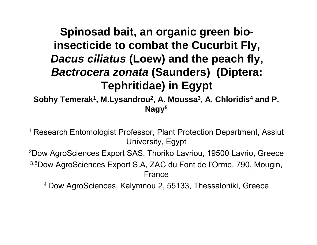## **Spinosad bait, an organic green bioinsecticide to combat the Cucurbit Fly insecticide to Fly,**  *Dacus ciliatus* **(Loew) and the peach fly,**  *Bactrocera zonata* (Saunders) (Diptera: **Tephritidae) in Egypt**

**Sobhy Temerak1, M.Lysandrou 2, A. Moussa 3, A. Chloridis 4 and P. N 5 agy**

1 Research Entomologist Professor, Plant Protection Department, Assiut University, Egypt  $^2$ Dow AgroSciences\_Export SAS,\_Thoriko Lavriou, 19500 Lavrio, Greece <sup>3,5</sup>Dow AgroSciences Export S.A, ZAC du Font de l'Orme, 790, Mougin, France

4 Dow AgroSciences, Kalymnou 2, 55133, Thessaloniki, Greece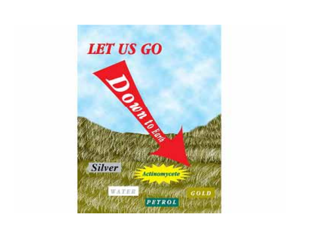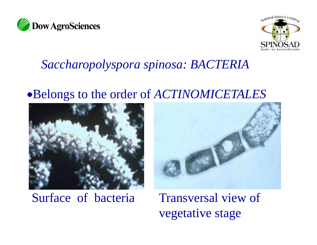



## *Saccharopolyspora spinosa: BACTERIA*

### Belongs to the order of *ACTINOMICETALES*



## Surface of bacteria Transversal view of



vegetative stage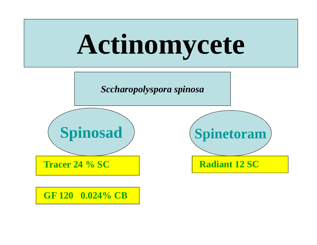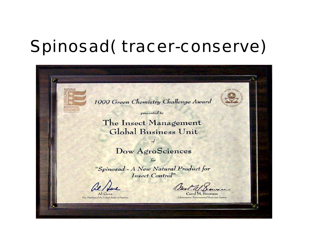# *Spinosad( tracer -conserve)*

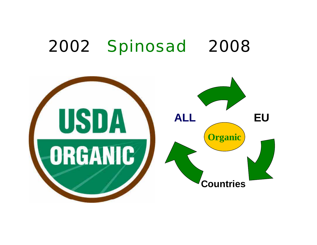# *2002 Spinosad 2008*

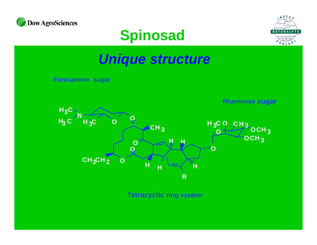

# **Spinosad**



# *Unique structure*

**Forosamine sugar**

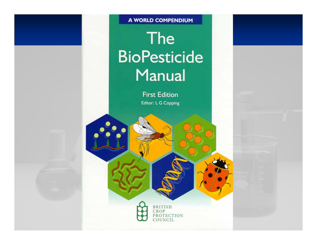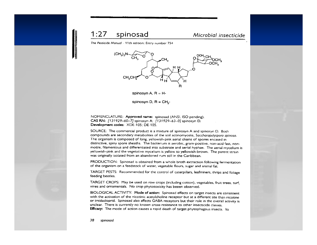#### $1:27$ spinosad

#### Microbial insecticide

The Pesticide Manual - 11th edition: Entry number 754



spinosyn A,  $R = H$ -

spinosyn D,  $R = CH<sub>a</sub>$ -

NOMENCLATURE: Approved name: spinosad (ANSI, ISO pending). CAS RN: [131929-60-7] spinosyn A; [131929-63-0] spinosyn D. Development codes: XDE-105; DE-105.

SOURCE: The commercial product is a mixture of spinosyn A and spinosyn D. Both compounds are secondary metabolites of the soil actinomycete, Saccharopolyspora spinosa. The organism is composed of long, yellowish-pink aerial chains of spores encased in distinctive, spiny spore sheaths. The bacterium is aerobic, gram-positive, non-acid fast, nonmotile, filamentous and differentiated into substrate and aerial hyphae. The aerial mycelium is yellowish-pink and the vegetative mycelium is yellow to yellowish-brown. The parent strain was originally isolated from an abandoned rum still in the Caribbean.

PRODUCTION: Spinosad is obtained from a whole broth extraction following fermentation of the organism on a feedstock of water, vegetable flours, sugar and animal fat.

TARGET PESTS: Recommended for the control of caterpillars, leafminers, thrips and foliage feeding beetles.

TARGET CROPS: May be used on row crops (including cotton), vegetables, fruit trees, turf, vines and ornamentals. No crop phytotoxicity has beeen observed.

BIOLOGICAL ACTIVITY: Mode of action: Spinosad effects on target insects are consistent with the activation of the nicotinic acetylcholine receptor but at a different site than nicotine or imidacloprid. Spinosad also affects GABA receptors but their role in the overall activity is unclear. There is currently no known cross-resistance to other insecticide classes. Efficacy: The mode of action causes a rapid death of target phytophagous insects. Its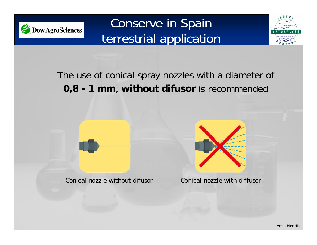

# Conserve in Spain terrestrial application



The use of conical spray nozzles with a diameter of **0,8 - 1 mm**, **without difusor** is recommended

Conical nozzle without difusor Conical nozzle with diffusor

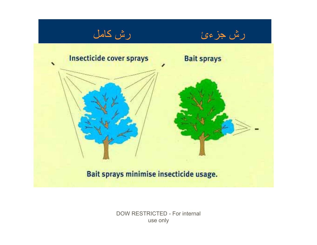

**DOW RESTRICTED - For internal** use only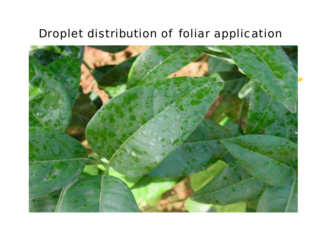### *Droplet distribution of foliar application*

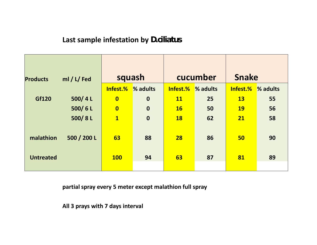### **Last sample infestation by** *D.ciliatus*

| <b>Products</b>  | ml / L/ Fed | squash                  |             | cucumber          |    | <b>Snake</b> |          |
|------------------|-------------|-------------------------|-------------|-------------------|----|--------------|----------|
|                  |             | Infest.%                | % adults    | Infest.% % adults |    | Infest.%     | % adults |
| Gf120            | 500/4L      | $\overline{\mathbf{0}}$ | $\mathbf 0$ | <b>11</b>         | 25 | <b>13</b>    | 55       |
|                  | 500/6L      | $\overline{\mathbf{0}}$ | $\mathbf 0$ | <b>16</b>         | 50 | <b>19</b>    | 56       |
|                  | 500/8L      | $\overline{\mathbf{1}}$ | $\mathbf 0$ | <b>18</b>         | 62 | 21           | 58       |
| malathion        | 500 / 200 L | 63                      | 88          | 28                | 86 | 50           | 90       |
| <b>Untreated</b> |             | <b>100</b>              | 94          | 63                | 87 | 81           | 89       |

**partial spray every 5 meter except malathion full spray**

**All 3 prays with 7 days interval**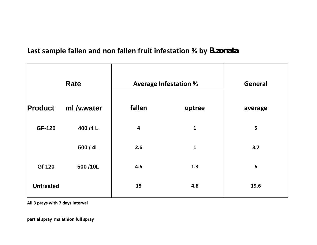### **Last sample fallen and non fallen fruit infestation % by** *B.zonata*

| <b>Rate</b>      |             | <b>Average Infestation %</b> | <b>General</b> |                 |
|------------------|-------------|------------------------------|----------------|-----------------|
| <b>Product</b>   | ml /v.water | fallen                       | uptree         | average         |
| <b>GF-120</b>    | 400 /4 L    | 4                            | $\mathbf{1}$   | 5               |
|                  | 500/4L      | 2.6                          | $\mathbf{1}$   | 3.7             |
| Gf 120           | 500/10L     | 4.6                          | 1.3            | $6\phantom{1}6$ |
| <b>Untreated</b> |             | 15                           | 4.6            | 19.6            |

**All 3 prays with 7 days interval**

**partial spray malathion full spray**